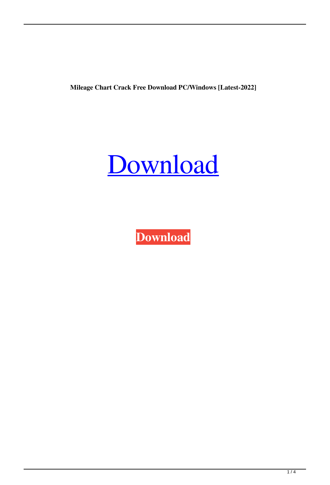**Mileage Chart Crack Free Download PC/Windows [Latest-2022]**



**[Download](http://evacdir.com/vainly/TWlsZWFnZSBDaGFydATWl/accurate/ZG93bmxvYWR8VjZpTTNjNGRueDhNVFkxTkRVeU1qRXhNSHg4TWpVNU1IeDhLRTBwSUZkdmNtUndjbVZ6Y3lCYldFMU1VbEJESUZZeUlGQkVSbDA/broiler..enteraction?gibbons=narghila)**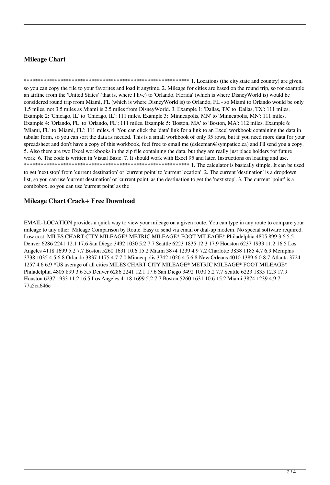## **Mileage Chart**

so you can copy the file to your favorites and load it anytime. 2. Mileage for cities are based on the round trip, so for example an airline from the 'United States' (that is, where I live) to 'Orlando, Florida' (which is where DisneyWorld is) would be considered round trip from Miami, FL (which is where DisneyWorld is) to Orlando, FL - so Miami to Orlando would be only 1.5 miles, not 3.5 miles as Miami is 2.5 miles from DisneyWorld. 3. Example 1: 'Dallas, TX' to 'Dallas, TX': 111 miles. Example 2: 'Chicago, IL' to 'Chicago, IL': 111 miles. Example 3: 'Minneapolis, MN' to 'Minneapolis, MN': 111 miles. Example 4: 'Orlando, FL' to 'Orlando, FL': 111 miles. Example 5: 'Boston, MA' to 'Boston, MA': 112 miles. Example 6: 'Miami, FL' to 'Miami, FL': 111 miles. 4. You can click the 'data' link for a link to an Excel workbook containing the data in tabular form, so you can sort the data as needed. This is a small workbook of only 35 rows, but if you need more data for your spreadsheet and don't have a copy of this workbook, feel free to email me (dsleeman@sympatico.ca) and I'll send you a copy. 5. Also there are two Excel workbooks in the zip file containing the data, but they are really just place holders for future work. 6. The code is written in Visual Basic. 7. It should work with Excel 95 and later. Instructions on loading and use. 

to get 'next stop' from 'current destination' or 'current point' to 'current location'. 2. The current 'destination' is a dropdown list, so you can use 'current destination' or 'current point' as the destination to get the 'next stop'. 3. The current 'point' is a combobox, so you can use 'current point' as the

### **Mileage Chart Crack+ Free Download**

EMAIL-LOCATION provides a quick way to view your mileage on a given route. You can type in any route to compare your mileage to any other. Mileage Comparison by Route. Easy to send via email or dial-up modem. No special software required. Low cost. MILES CHART CITY MILEAGE\* METRIC MILEAGE\* FOOT MILEAGE\* Philadelphia 4805 899 3.6 5.5 Denver 6286 2241 12.1 17.6 San Diego 3492 1030 5.2 7.7 Seattle 6223 1835 12.3 17.9 Houston 6237 1933 11.2 16.5 Los Angeles 4118 1699 5.2 7.7 Boston 5260 1631 10.6 15.2 Miami 3874 1239 4.9 7.2 Charlotte 3838 1185 4.7 6.9 Memphis 3738 1035 4.5 6.8 Orlando 3837 1175 4.7 7.0 Minneapolis 3742 1026 4.5 6.8 New Orleans 4010 1389 6.0 8.7 Atlanta 3724 1257 4.6 6.9 \*US average of all cities MILES CHART CITY MILEAGE\* METRIC MILEAGE\* FOOT MILEAGE\* Philadelphia 4805 899 3.6 5.5 Denver 6286 2241 12.1 17.6 San Diego 3492 1030 5.2 7.7 Seattle 6223 1835 12.3 17.9 Houston 6237 1933 11.2 16.5 Los Angeles 4118 1699 5.2 7.7 Boston 5260 1631 10.6 15.2 Miami 3874 1239 4.9 7 77a5ca646e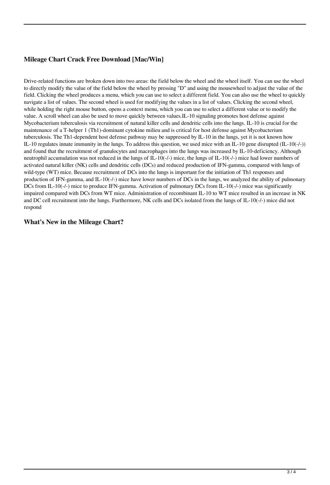# **Mileage Chart Crack Free Download [Mac/Win]**

Drive-related functions are broken down into two areas: the field below the wheel and the wheel itself. You can use the wheel to directly modify the value of the field below the wheel by pressing "D" and using the mousewheel to adjust the value of the field. Clicking the wheel produces a menu, which you can use to select a different field. You can also use the wheel to quickly navigate a list of values. The second wheel is used for modifying the values in a list of values. Clicking the second wheel, while holding the right mouse button, opens a context menu, which you can use to select a different value or to modify the value. A scroll wheel can also be used to move quickly between values.IL-10 signaling promotes host defense against Mycobacterium tuberculosis via recruitment of natural killer cells and dendritic cells into the lungs. IL-10 is crucial for the maintenance of a T-helper 1 (Th1)-dominant cytokine milieu and is critical for host defense against Mycobacterium tuberculosis. The Th1-dependent host defense pathway may be suppressed by IL-10 in the lungs, yet it is not known how IL-10 regulates innate immunity in the lungs. To address this question, we used mice with an IL-10 gene disrupted  $(II-10(-/))$ and found that the recruitment of granulocytes and macrophages into the lungs was increased by IL-10-deficiency. Although neutrophil accumulation was not reduced in the lungs of IL-10(-/-) mice, the lungs of IL-10(-/-) mice had lower numbers of activated natural killer (NK) cells and dendritic cells (DCs) and reduced production of IFN-gamma, compared with lungs of wild-type (WT) mice. Because recruitment of DCs into the lungs is important for the initiation of Th1 responses and production of IFN-gamma, and IL-10(-/-) mice have lower numbers of DCs in the lungs, we analyzed the ability of pulmonary DCs from IL-10(-/-) mice to produce IFN-gamma. Activation of pulmonary DCs from IL-10(-/-) mice was significantly impaired compared with DCs from WT mice. Administration of recombinant IL-10 to WT mice resulted in an increase in NK and DC cell recruitment into the lungs. Furthermore, NK cells and DCs isolated from the lungs of IL-10(-/-) mice did not respond

#### **What's New in the Mileage Chart?**